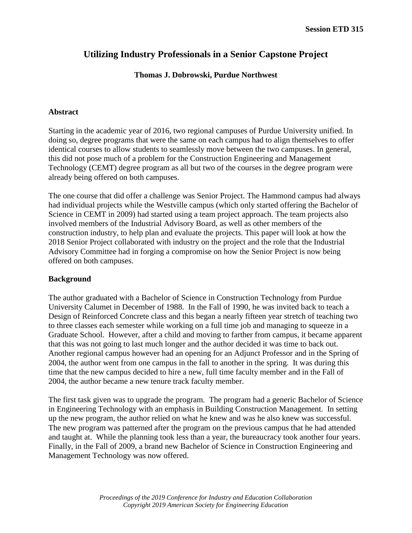# **Utilizing Industry Professionals in a Senior Capstone Project**

# **Thomas J. Dobrowski, Purdue Northwest**

## **Abstract**

Starting in the academic year of 2016, two regional campuses of Purdue University unified. In doing so, degree programs that were the same on each campus had to align themselves to offer identical courses to allow students to seamlessly move between the two campuses. In general, this did not pose much of a problem for the Construction Engineering and Management Technology (CEMT) degree program as all but two of the courses in the degree program were already being offered on both campuses.

The one course that did offer a challenge was Senior Project. The Hammond campus had always had individual projects while the Westville campus (which only started offering the Bachelor of Science in CEMT in 2009) had started using a team project approach. The team projects also involved members of the Industrial Advisory Board, as well as other members of the construction industry, to help plan and evaluate the projects. This paper will look at how the 2018 Senior Project collaborated with industry on the project and the role that the Industrial Advisory Committee had in forging a compromise on how the Senior Project is now being offered on both campuses.

## **Background**

The author graduated with a Bachelor of Science in Construction Technology from Purdue University Calumet in December of 1988. In the Fall of 1990, he was invited back to teach a Design of Reinforced Concrete class and this began a nearly fifteen year stretch of teaching two to three classes each semester while working on a full time job and managing to squeeze in a Graduate School. However, after a child and moving to farther from campus, it became apparent that this was not going to last much longer and the author decided it was time to back out. Another regional campus however had an opening for an Adjunct Professor and in the Spring of 2004, the author went from one campus in the fall to another in the spring. It was during this time that the new campus decided to hire a new, full time faculty member and in the Fall of 2004, the author became a new tenure track faculty member.

The first task given was to upgrade the program. The program had a generic Bachelor of Science in Engineering Technology with an emphasis in Building Construction Management. In setting up the new program, the author relied on what he knew and was he also knew was successful. The new program was patterned after the program on the previous campus that he had attended and taught at. While the planning took less than a year, the bureaucracy took another four years. Finally, in the Fall of 2009, a brand new Bachelor of Science in Construction Engineering and Management Technology was now offered.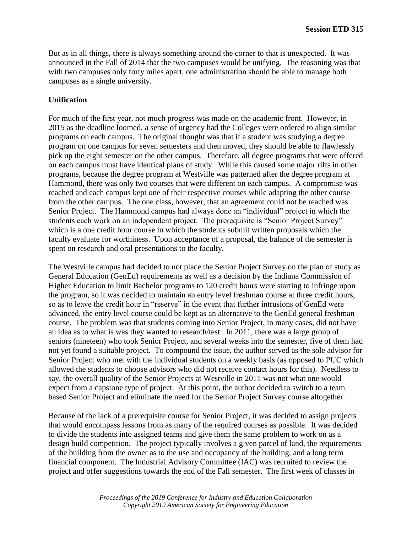But as in all things, there is always something around the corner to that is unexpected. It was announced in the Fall of 2014 that the two campuses would be unifying. The reasoning was that with two campuses only forty miles apart, one administration should be able to manage both campuses as a single university.

## **Unification**

For much of the first year, not much progress was made on the academic front. However, in 2015 as the deadline loomed, a sense of urgency had the Colleges were ordered to align similar programs on each campus. The original thought was that if a student was studying a degree program on one campus for seven semesters and then moved, they should be able to flawlessly pick up the eight semester on the other campus. Therefore, all degree programs that were offered on each campus must have identical plans of study. While this caused some major rifts in other programs, because the degree program at Westville was patterned after the degree program at Hammond, there was only two courses that were different on each campus. A compromise was reached and each campus kept one of their respective courses while adapting the other course from the other campus. The one class, however, that an agreement could not be reached was Senior Project. The Hammond campus had always done an "individual" project in which the students each work on an independent project. The prerequisite is "Senior Project Survey" which is a one credit hour course in which the students submit written proposals which the faculty evaluate for worthiness. Upon acceptance of a proposal, the balance of the semester is spent on research and oral presentations to the faculty.

The Westville campus had decided to not place the Senior Project Survey on the plan of study as General Education (GenEd) requirements as well as a decision by the Indiana Commission of Higher Education to limit Bachelor programs to 120 credit hours were starting to infringe upon the program, so it was decided to maintain an entry level freshman course at three credit hours, so as to leave the credit hour in "reserve" in the event that further intrusions of GenEd were advanced, the entry level course could be kept as an alternative to the GenEd general freshman course. The problem was that students coming into Senior Project, in many cases, did not have an idea as to what is was they wanted to research/test. In 2011, there was a large group of seniors (nineteen) who took Senior Project, and several weeks into the semester, five of them had not yet found a suitable project. To compound the issue, the author served as the sole advisor for Senior Project who met with the individual students on a weekly basis (as opposed to PUC which allowed the students to choose advisors who did not receive contact hours for this). Needless to say, the overall quality of the Senior Projects at Westville in 2011 was not what one would expect from a capstone type of project. At this point, the author decided to switch to a team based Senior Project and eliminate the need for the Senior Project Survey course altogether.

Because of the lack of a prerequisite course for Senior Project, it was decided to assign projects that would encompass lessons from as many of the required courses as possible. It was decided to divide the students into assigned teams and give them the same problem to work on as a design build competition. The project typically involves a given parcel of land, the requirements of the building from the owner as to the use and occupancy of the building, and a long term financial component. The Industrial Advisory Committee (IAC) was recruited to review the project and offer suggestions towards the end of the Fall semester. The first week of classes in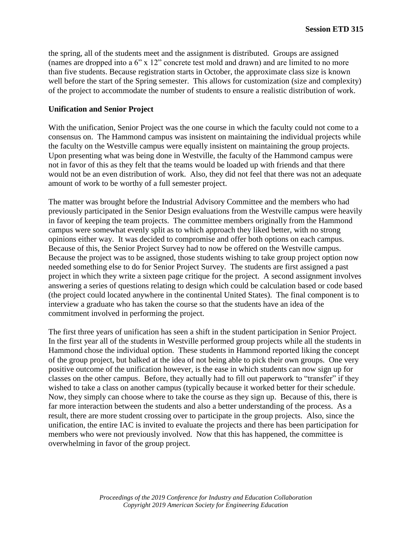the spring, all of the students meet and the assignment is distributed. Groups are assigned (names are dropped into a 6" x 12" concrete test mold and drawn) and are limited to no more than five students. Because registration starts in October, the approximate class size is known well before the start of the Spring semester. This allows for customization (size and complexity) of the project to accommodate the number of students to ensure a realistic distribution of work.

#### **Unification and Senior Project**

With the unification, Senior Project was the one course in which the faculty could not come to a consensus on. The Hammond campus was insistent on maintaining the individual projects while the faculty on the Westville campus were equally insistent on maintaining the group projects. Upon presenting what was being done in Westville, the faculty of the Hammond campus were not in favor of this as they felt that the teams would be loaded up with friends and that there would not be an even distribution of work. Also, they did not feel that there was not an adequate amount of work to be worthy of a full semester project.

The matter was brought before the Industrial Advisory Committee and the members who had previously participated in the Senior Design evaluations from the Westville campus were heavily in favor of keeping the team projects. The committee members originally from the Hammond campus were somewhat evenly split as to which approach they liked better, with no strong opinions either way. It was decided to compromise and offer both options on each campus. Because of this, the Senior Project Survey had to now be offered on the Westville campus. Because the project was to be assigned, those students wishing to take group project option now needed something else to do for Senior Project Survey. The students are first assigned a past project in which they write a sixteen page critique for the project. A second assignment involves answering a series of questions relating to design which could be calculation based or code based (the project could located anywhere in the continental United States). The final component is to interview a graduate who has taken the course so that the students have an idea of the commitment involved in performing the project.

The first three years of unification has seen a shift in the student participation in Senior Project. In the first year all of the students in Westville performed group projects while all the students in Hammond chose the individual option. These students in Hammond reported liking the concept of the group project, but balked at the idea of not being able to pick their own groups. One very positive outcome of the unification however, is the ease in which students can now sign up for classes on the other campus. Before, they actually had to fill out paperwork to "transfer" if they wished to take a class on another campus (typically because it worked better for their schedule. Now, they simply can choose where to take the course as they sign up. Because of this, there is far more interaction between the students and also a better understanding of the process. As a result, there are more student crossing over to participate in the group projects. Also, since the unification, the entire IAC is invited to evaluate the projects and there has been participation for members who were not previously involved. Now that this has happened, the committee is overwhelming in favor of the group project.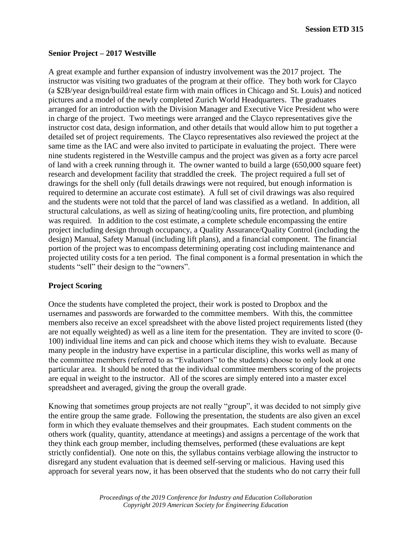**Session ETD 315**

#### **Senior Project – 2017 Westville**

A great example and further expansion of industry involvement was the 2017 project. The instructor was visiting two graduates of the program at their office. They both work for Clayco (a \$2B/year design/build/real estate firm with main offices in Chicago and St. Louis) and noticed pictures and a model of the newly completed Zurich World Headquarters. The graduates arranged for an introduction with the Division Manager and Executive Vice President who were in charge of the project. Two meetings were arranged and the Clayco representatives give the instructor cost data, design information, and other details that would allow him to put together a detailed set of project requirements. The Clayco representatives also reviewed the project at the same time as the IAC and were also invited to participate in evaluating the project. There were nine students registered in the Westville campus and the project was given as a forty acre parcel of land with a creek running through it. The owner wanted to build a large (650,000 square feet) research and development facility that straddled the creek. The project required a full set of drawings for the shell only (full details drawings were not required, but enough information is required to determine an accurate cost estimate). A full set of civil drawings was also required and the students were not told that the parcel of land was classified as a wetland. In addition, all structural calculations, as well as sizing of heating/cooling units, fire protection, and plumbing was required. In addition to the cost estimate, a complete schedule encompassing the entire project including design through occupancy, a Quality Assurance/Quality Control (including the design) Manual, Safety Manual (including lift plans), and a financial component. The financial portion of the project was to encompass determining operating cost including maintenance and projected utility costs for a ten period. The final component is a formal presentation in which the students "sell" their design to the "owners".

## **Project Scoring**

Once the students have completed the project, their work is posted to Dropbox and the usernames and passwords are forwarded to the committee members. With this, the committee members also receive an excel spreadsheet with the above listed project requirements listed (they are not equally weighted) as well as a line item for the presentation. They are invited to score (0- 100) individual line items and can pick and choose which items they wish to evaluate. Because many people in the industry have expertise in a particular discipline, this works well as many of the committee members (referred to as "Evaluators" to the students) choose to only look at one particular area. It should be noted that the individual committee members scoring of the projects are equal in weight to the instructor. All of the scores are simply entered into a master excel spreadsheet and averaged, giving the group the overall grade.

Knowing that sometimes group projects are not really "group", it was decided to not simply give the entire group the same grade. Following the presentation, the students are also given an excel form in which they evaluate themselves and their groupmates. Each student comments on the others work (quality, quantity, attendance at meetings) and assigns a percentage of the work that they think each group member, including themselves, performed (these evaluations are kept strictly confidential). One note on this, the syllabus contains verbiage allowing the instructor to disregard any student evaluation that is deemed self-serving or malicious. Having used this approach for several years now, it has been observed that the students who do not carry their full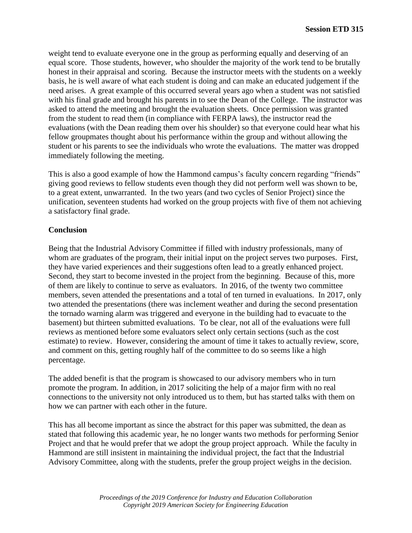weight tend to evaluate everyone one in the group as performing equally and deserving of an equal score. Those students, however, who shoulder the majority of the work tend to be brutally honest in their appraisal and scoring. Because the instructor meets with the students on a weekly basis, he is well aware of what each student is doing and can make an educated judgement if the need arises. A great example of this occurred several years ago when a student was not satisfied with his final grade and brought his parents in to see the Dean of the College. The instructor was asked to attend the meeting and brought the evaluation sheets. Once permission was granted from the student to read them (in compliance with FERPA laws), the instructor read the evaluations (with the Dean reading them over his shoulder) so that everyone could hear what his fellow groupmates thought about his performance within the group and without allowing the student or his parents to see the individuals who wrote the evaluations. The matter was dropped immediately following the meeting.

This is also a good example of how the Hammond campus's faculty concern regarding "friends" giving good reviews to fellow students even though they did not perform well was shown to be, to a great extent, unwarranted. In the two years (and two cycles of Senior Project) since the unification, seventeen students had worked on the group projects with five of them not achieving a satisfactory final grade.

# **Conclusion**

Being that the Industrial Advisory Committee if filled with industry professionals, many of whom are graduates of the program, their initial input on the project serves two purposes. First, they have varied experiences and their suggestions often lead to a greatly enhanced project. Second, they start to become invested in the project from the beginning. Because of this, more of them are likely to continue to serve as evaluators. In 2016, of the twenty two committee members, seven attended the presentations and a total of ten turned in evaluations. In 2017, only two attended the presentations (there was inclement weather and during the second presentation the tornado warning alarm was triggered and everyone in the building had to evacuate to the basement) but thirteen submitted evaluations. To be clear, not all of the evaluations were full reviews as mentioned before some evaluators select only certain sections (such as the cost estimate) to review. However, considering the amount of time it takes to actually review, score, and comment on this, getting roughly half of the committee to do so seems like a high percentage.

The added benefit is that the program is showcased to our advisory members who in turn promote the program. In addition, in 2017 soliciting the help of a major firm with no real connections to the university not only introduced us to them, but has started talks with them on how we can partner with each other in the future.

This has all become important as since the abstract for this paper was submitted, the dean as stated that following this academic year, he no longer wants two methods for performing Senior Project and that he would prefer that we adopt the group project approach. While the faculty in Hammond are still insistent in maintaining the individual project, the fact that the Industrial Advisory Committee, along with the students, prefer the group project weighs in the decision.